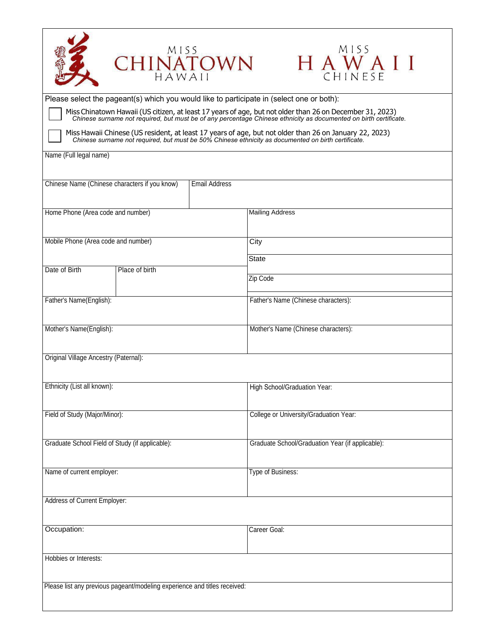| CHINATOWN                                                                                                                                                                                                                     | MISS<br>HAWAII                                   |  |  |  |
|-------------------------------------------------------------------------------------------------------------------------------------------------------------------------------------------------------------------------------|--------------------------------------------------|--|--|--|
| Please select the pageant(s) which you would like to participate in (select one or both):                                                                                                                                     |                                                  |  |  |  |
| Miss Chinatown Hawaii (US citizen, at least 17 years of age, but not older than 26 on December 31, 2023)<br>Chinese surname not required, but must be of any percentage Chinese ethnicity as documented on birth certificate. |                                                  |  |  |  |
| Miss Hawaii Chinese (US resident, at least 17 years of age, but not older than 26 on January 22, 2023) Chinese surname not required, but must be 50% Chinese ethnicity as documented on birth certificate.                    |                                                  |  |  |  |
| Name (Full legal name)                                                                                                                                                                                                        |                                                  |  |  |  |
| Chinese Name (Chinese characters if you know)<br><b>Email Address</b>                                                                                                                                                         |                                                  |  |  |  |
| Home Phone (Area code and number)                                                                                                                                                                                             | <b>Mailing Address</b>                           |  |  |  |
| Mobile Phone (Area code and number)                                                                                                                                                                                           | City                                             |  |  |  |
|                                                                                                                                                                                                                               | <b>State</b>                                     |  |  |  |
| Date of Birth<br>Place of birth                                                                                                                                                                                               | Zip Code                                         |  |  |  |
|                                                                                                                                                                                                                               |                                                  |  |  |  |
| Father's Name(English):                                                                                                                                                                                                       | Father's Name (Chinese characters):              |  |  |  |
| Mother's Name(English):                                                                                                                                                                                                       | Mother's Name (Chinese characters):              |  |  |  |
| Original Village Ancestry (Paternal):                                                                                                                                                                                         |                                                  |  |  |  |
| Ethnicity (List all known):                                                                                                                                                                                                   | High School/Graduation Year:                     |  |  |  |
| Field of Study (Major/Minor):                                                                                                                                                                                                 | College or University/Graduation Year:           |  |  |  |
| Graduate School Field of Study (if applicable):                                                                                                                                                                               | Graduate School/Graduation Year (if applicable): |  |  |  |
| Name of current employer:                                                                                                                                                                                                     | Type of Business:                                |  |  |  |
| Address of Current Employer:                                                                                                                                                                                                  |                                                  |  |  |  |
| Occupation:                                                                                                                                                                                                                   | Career Goal:                                     |  |  |  |
| Hobbies or Interests:                                                                                                                                                                                                         |                                                  |  |  |  |
| Please list any previous pageant/modeling experience and titles received:                                                                                                                                                     |                                                  |  |  |  |